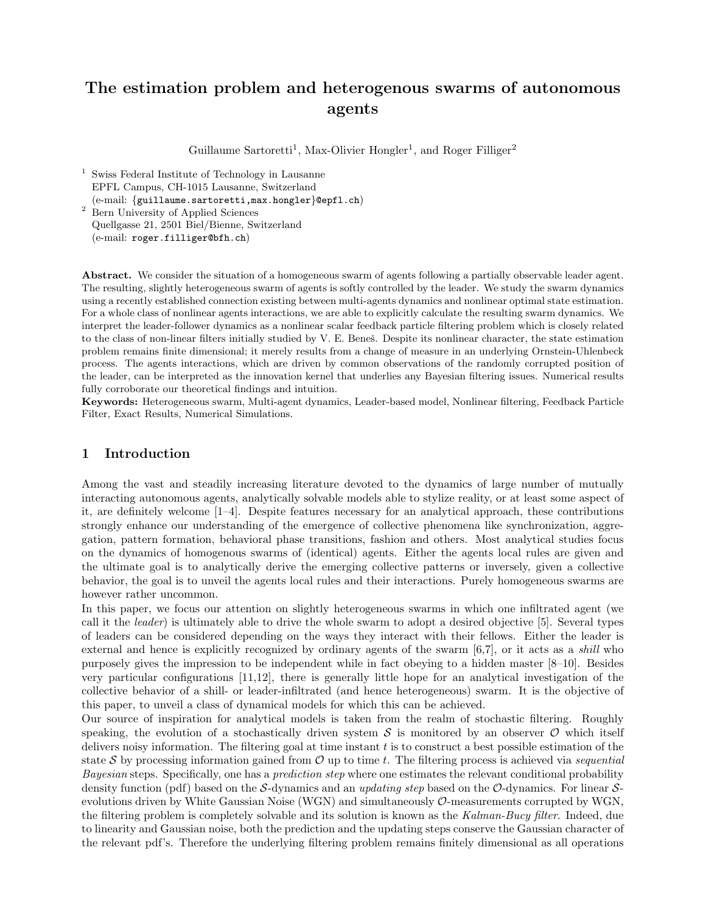# The estimation problem and heterogenous swarms of autonomous agents

Guillaume Sartoretti<sup>1</sup>, Max-Olivier Hongler<sup>1</sup>, and Roger Filliger<sup>2</sup>

- <sup>1</sup> Swiss Federal Institute of Technology in Lausanne EPFL Campus, CH-1015 Lausanne, Switzerland (e-mail: {guillaume.sartoretti,max.hongler}@epfl.ch)
- <sup>2</sup> Bern University of Applied Sciences Quellgasse 21, 2501 Biel/Bienne, Switzerland (e-mail: roger.filliger@bfh.ch)

Abstract. We consider the situation of a homogeneous swarm of agents following a partially observable leader agent. The resulting, slightly heterogeneous swarm of agents is softly controlled by the leader. We study the swarm dynamics using a recently established connection existing between multi-agents dynamics and nonlinear optimal state estimation. For a whole class of nonlinear agents interactions, we are able to explicitly calculate the resulting swarm dynamics. We interpret the leader-follower dynamics as a nonlinear scalar feedback particle filtering problem which is closely related to the class of non-linear filters initially studied by V. E. Beneš. Despite its nonlinear character, the state estimation problem remains finite dimensional; it merely results from a change of measure in an underlying Ornstein-Uhlenbeck process. The agents interactions, which are driven by common observations of the randomly corrupted position of the leader, can be interpreted as the innovation kernel that underlies any Bayesian filtering issues. Numerical results fully corroborate our theoretical findings and intuition.

Keywords: Heterogeneous swarm, Multi-agent dynamics, Leader-based model, Nonlinear filtering, Feedback Particle Filter, Exact Results, Numerical Simulations.

# 1 Introduction

Among the vast and steadily increasing literature devoted to the dynamics of large number of mutually interacting autonomous agents, analytically solvable models able to stylize reality, or at least some aspect of it, are definitely welcome [1–4]. Despite features necessary for an analytical approach, these contributions strongly enhance our understanding of the emergence of collective phenomena like synchronization, aggregation, pattern formation, behavioral phase transitions, fashion and others. Most analytical studies focus on the dynamics of homogenous swarms of (identical) agents. Either the agents local rules are given and the ultimate goal is to analytically derive the emerging collective patterns or inversely, given a collective behavior, the goal is to unveil the agents local rules and their interactions. Purely homogeneous swarms are however rather uncommon.

In this paper, we focus our attention on slightly heterogeneous swarms in which one infiltrated agent (we call it the leader) is ultimately able to drive the whole swarm to adopt a desired objective [5]. Several types of leaders can be considered depending on the ways they interact with their fellows. Either the leader is external and hence is explicitly recognized by ordinary agents of the swarm [6,7], or it acts as a shill who purposely gives the impression to be independent while in fact obeying to a hidden master [8–10]. Besides very particular configurations [11,12], there is generally little hope for an analytical investigation of the collective behavior of a shill- or leader-infiltrated (and hence heterogeneous) swarm. It is the objective of this paper, to unveil a class of dynamical models for which this can be achieved.

Our source of inspiration for analytical models is taken from the realm of stochastic filtering. Roughly speaking, the evolution of a stochastically driven system  $S$  is monitored by an observer  $\mathcal O$  which itself delivers noisy information. The filtering goal at time instant  $t$  is to construct a best possible estimation of the state S by processing information gained from  $\mathcal O$  up to time t. The filtering process is achieved via sequential Bayesian steps. Specifically, one has a *prediction step* where one estimates the relevant conditional probability density function (pdf) based on the S-dynamics and an updating step based on the O-dynamics. For linear Sevolutions driven by White Gaussian Noise (WGN) and simultaneously O-measurements corrupted by WGN, the filtering problem is completely solvable and its solution is known as the Kalman-Bucy filter. Indeed, due to linearity and Gaussian noise, both the prediction and the updating steps conserve the Gaussian character of the relevant pdf's. Therefore the underlying filtering problem remains finitely dimensional as all operations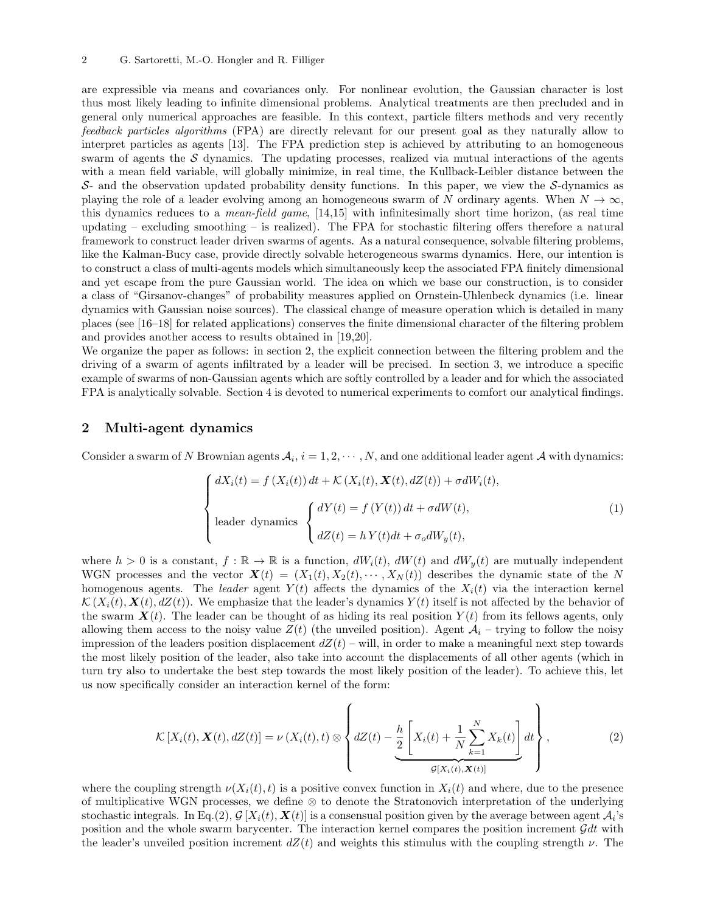are expressible via means and covariances only. For nonlinear evolution, the Gaussian character is lost thus most likely leading to infinite dimensional problems. Analytical treatments are then precluded and in general only numerical approaches are feasible. In this context, particle filters methods and very recently feedback particles algorithms (FPA) are directly relevant for our present goal as they naturally allow to interpret particles as agents [13]. The FPA prediction step is achieved by attributing to an homogeneous swarm of agents the  $S$  dynamics. The updating processes, realized via mutual interactions of the agents with a mean field variable, will globally minimize, in real time, the Kullback-Leibler distance between the  $S<sub>-</sub>$  and the observation updated probability density functions. In this paper, we view the S-dynamics as playing the role of a leader evolving among an homogeneous swarm of N ordinary agents. When  $N \to \infty$ , this dynamics reduces to a *mean-field game*, [14,15] with infinitesimally short time horizon, (as real time updating – excluding smoothing – is realized). The FPA for stochastic filtering offers therefore a natural framework to construct leader driven swarms of agents. As a natural consequence, solvable filtering problems, like the Kalman-Bucy case, provide directly solvable heterogeneous swarms dynamics. Here, our intention is to construct a class of multi-agents models which simultaneously keep the associated FPA finitely dimensional and yet escape from the pure Gaussian world. The idea on which we base our construction, is to consider a class of "Girsanov-changes" of probability measures applied on Ornstein-Uhlenbeck dynamics (i.e. linear dynamics with Gaussian noise sources). The classical change of measure operation which is detailed in many places (see [16–18] for related applications) conserves the finite dimensional character of the filtering problem and provides another access to results obtained in [19,20].

We organize the paper as follows: in section 2, the explicit connection between the filtering problem and the driving of a swarm of agents infiltrated by a leader will be precised. In section 3, we introduce a specific example of swarms of non-Gaussian agents which are softly controlled by a leader and for which the associated FPA is analytically solvable. Section 4 is devoted to numerical experiments to comfort our analytical findings.

#### 2 Multi-agent dynamics

Consider a swarm of N Brownian agents  $A_i$ ,  $i = 1, 2, \cdots, N$ , and one additional leader agent A with dynamics:

$$
\begin{cases}\ndX_i(t) = f(X_i(t)) dt + \mathcal{K}(X_i(t), \mathbf{X}(t), dZ(t)) + \sigma dW_i(t), \\
\text{leader dynamics} \begin{cases}\ndY(t) = f(Y(t)) dt + \sigma dW(t), \\
dZ(t) = hY(t) dt + \sigma_o dW_y(t),\n\end{cases}\n\end{cases} (1)
$$

where  $h > 0$  is a constant,  $f : \mathbb{R} \to \mathbb{R}$  is a function,  $dW_i(t)$ ,  $dW(t)$  and  $dW_y(t)$  are mutually independent WGN processes and the vector  $\mathbf{X}(t) = (X_1(t), X_2(t), \cdots, X_N(t))$  describes the dynamic state of the N homogenous agents. The leader agent  $Y(t)$  affects the dynamics of the  $X_i(t)$  via the interaction kernel  $\mathcal{K}(X_i(t), \mathbf{X}(t), dZ(t))$ . We emphasize that the leader's dynamics  $Y(t)$  itself is not affected by the behavior of the swarm  $\mathbf{X}(t)$ . The leader can be thought of as hiding its real position  $Y(t)$  from its fellows agents, only allowing them access to the noisy value  $Z(t)$  (the unveiled position). Agent  $A_i$  – trying to follow the noisy impression of the leaders position displacement  $dZ(t)$  – will, in order to make a meaningful next step towards the most likely position of the leader, also take into account the displacements of all other agents (which in turn try also to undertake the best step towards the most likely position of the leader). To achieve this, let us now specifically consider an interaction kernel of the form:

$$
\mathcal{K}\left[X_i(t), \mathbf{X}(t), dZ(t)\right] = \nu\left(X_i(t), t\right) \otimes \left\{ dZ(t) - \underbrace{\frac{h}{2} \left[X_i(t) + \frac{1}{N} \sum_{k=1}^N X_k(t)\right]}_{\mathcal{G}[X_i(t), \mathbf{X}(t)]} dt \right\},\tag{2}
$$

where the coupling strength  $\nu(X_i(t), t)$  is a positive convex function in  $X_i(t)$  and where, due to the presence of multiplicative WGN processes, we define ⊗ to denote the Stratonovich interpretation of the underlying stochastic integrals. In Eq.(2),  $\mathcal{G}[X_i(t), \mathbf{X}(t)]$  is a consensual position given by the average between agent  $\mathcal{A}_i$ 's position and the whole swarm barycenter. The interaction kernel compares the position increment  $\mathcal{G}dt$  with the leader's unveiled position increment  $dZ(t)$  and weights this stimulus with the coupling strength  $\nu$ . The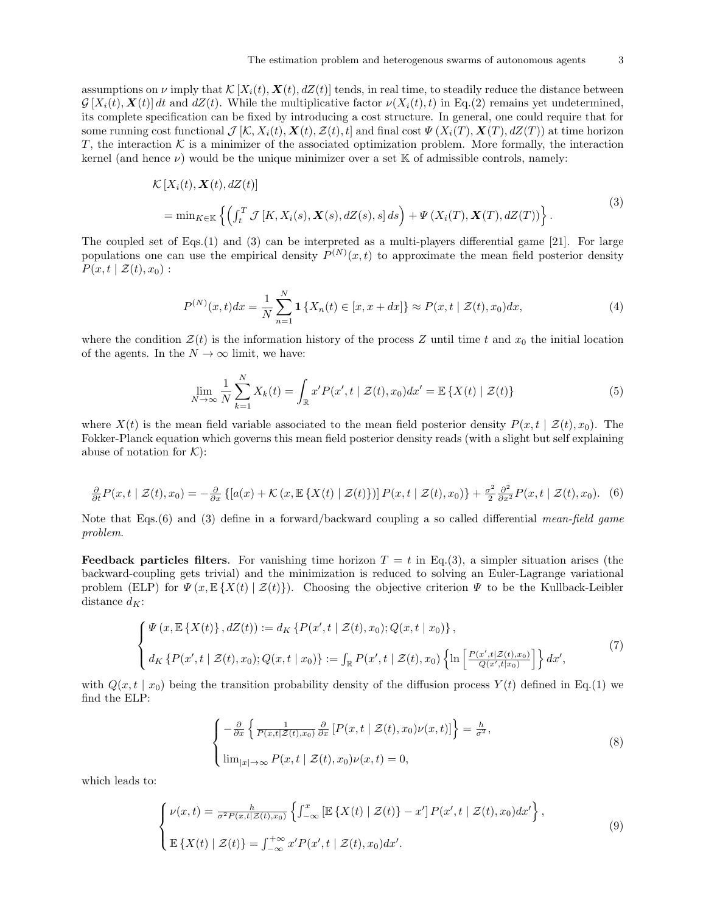assumptions on  $\nu$  imply that  $\mathcal{K}[X_i(t), \mathbf{X}(t), dZ(t)]$  tends, in real time, to steadily reduce the distance between  $\mathcal{G}[X_i(t), \mathbf{X}(t)]$  dt and  $dZ(t)$ . While the multiplicative factor  $\nu(X_i(t), t)$  in Eq.(2) remains yet undetermined, its complete specification can be fixed by introducing a cost structure. In general, one could require that for some running cost functional  $\mathcal{J}[\mathcal{K}, X_i(t), \mathcal{X}(t), \mathcal{Z}(t), t]$  and final cost  $\Psi(X_i(T), \mathcal{X}(T), dZ(T))$  at time horizon T, the interaction  $K$  is a minimizer of the associated optimization problem. More formally, the interaction kernel (and hence  $\nu$ ) would be the unique minimizer over a set K of admissible controls, namely:

$$
\mathcal{K}[X_i(t), \mathbf{X}(t), dZ(t)]
$$
  
= 
$$
\min_{K \in \mathbb{K}} \left\{ \left( \int_t^T \mathcal{J}[K, X_i(s), \mathbf{X}(s), dZ(s), s] ds \right) + \Psi(X_i(T), \mathbf{X}(T), dZ(T)) \right\}.
$$
 (3)

The coupled set of Eqs.(1) and (3) can be interpreted as a multi-players differential game [21]. For large populations one can use the empirical density  $P^{(N)}(x,t)$  to approximate the mean field posterior density  $P(x, t \mid \mathcal{Z}(t), x_0):$ 

$$
P^{(N)}(x,t)dx = \frac{1}{N} \sum_{n=1}^{N} \mathbf{1} \{ X_n(t) \in [x, x+dx] \} \approx P(x,t \mid \mathcal{Z}(t), x_0) dx,
$$
\n(4)

where the condition  $\mathcal{Z}(t)$  is the information history of the process Z until time t and  $x_0$  the initial location of the agents. In the  $N \to \infty$  limit, we have:

$$
\lim_{N \to \infty} \frac{1}{N} \sum_{k=1}^{N} X_k(t) = \int_{\mathbb{R}} x' P(x', t \mid \mathcal{Z}(t), x_0) dx' = \mathbb{E} \left\{ X(t) \mid \mathcal{Z}(t) \right\} \tag{5}
$$

where  $X(t)$  is the mean field variable associated to the mean field posterior density  $P(x, t | Z(t), x_0)$ . The Fokker-Planck equation which governs this mean field posterior density reads (with a slight but self explaining abuse of notation for  $K$ :

$$
\frac{\partial}{\partial t}P(x,t\mid \mathcal{Z}(t),x_0)=-\frac{\partial}{\partial x}\left\{[a(x)+\mathcal{K}(x,\mathbb{E}\left\{X(t)\mid \mathcal{Z}(t)\right\})]P(x,t\mid \mathcal{Z}(t),x_0)\right\}+\frac{\sigma^2}{2}\frac{\partial^2}{\partial x^2}P(x,t\mid \mathcal{Z}(t),x_0).
$$
(6)

Note that Eqs.(6) and (3) define in a forward/backward coupling a so called differential mean-field game problem.

**Feedback particles filters.** For vanishing time horizon  $T = t$  in Eq.(3), a simpler situation arises (the backward-coupling gets trivial) and the minimization is reduced to solving an Euler-Lagrange variational problem (ELP) for  $\Psi(x,\mathbb{E}\{X(t) | Z(t)\})$ . Choosing the objective criterion  $\Psi$  to be the Kullback-Leibler distance  $d_K$ :

$$
\begin{cases} \Psi(x, \mathbb{E}\left\{X(t)\right\}, dZ(t)) := d_K \left\{P(x', t \mid \mathcal{Z}(t), x_0); Q(x, t \mid x_0)\right\}, \\ d_K \left\{P(x', t \mid \mathcal{Z}(t), x_0); Q(x, t \mid x_0)\right\} := \int_{\mathbb{R}} P(x', t \mid \mathcal{Z}(t), x_0) \left\{\ln\left[\frac{P(x', t \mid \mathcal{Z}(t), x_0)}{Q(x', t \mid x_0)}\right]\right\} dx', \end{cases} \tag{7}
$$

with  $Q(x, t | x_0)$  being the transition probability density of the diffusion process  $Y(t)$  defined in Eq.(1) we find the ELP:

$$
\begin{cases}\n-\frac{\partial}{\partial x}\left\{\frac{1}{P(x,t|\mathcal{Z}(t),x_0)}\frac{\partial}{\partial x}\left[P(x,t|\mathcal{Z}(t),x_0)\nu(x,t)\right]\right\} = \frac{h}{\sigma^2},\\ \lim_{|x|\to\infty} P(x,t|\mathcal{Z}(t),x_0)\nu(x,t) = 0,\n\end{cases}
$$
\n(8)

which leads to:

$$
\begin{cases}\n\nu(x,t) = \frac{h}{\sigma^2 P(x,t|\mathcal{Z}(t),x_0)} \left\{ \int_{-\infty}^x \left[ \mathbb{E} \left\{ X(t) \mid \mathcal{Z}(t) \right\} - x' \right] P(x',t \mid \mathcal{Z}(t),x_0) dx' \right\}, \\
\mathbb{E} \left\{ X(t) \mid \mathcal{Z}(t) \right\} = \int_{-\infty}^{+\infty} x' P(x',t \mid \mathcal{Z}(t),x_0) dx'.\n\end{cases} \tag{9}
$$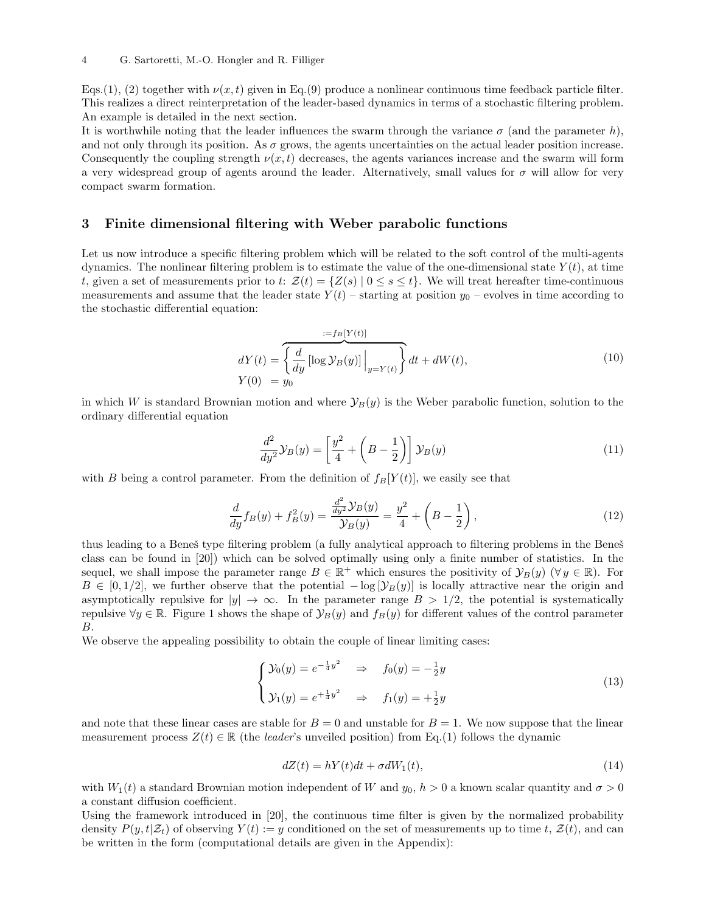Eqs.(1), (2) together with  $\nu(x, t)$  given in Eq.(9) produce a nonlinear continuous time feedback particle filter. This realizes a direct reinterpretation of the leader-based dynamics in terms of a stochastic filtering problem. An example is detailed in the next section.

It is worthwhile noting that the leader influences the swarm through the variance  $\sigma$  (and the parameter h), and not only through its position. As  $\sigma$  grows, the agents uncertainties on the actual leader position increase. Consequently the coupling strength  $\nu(x, t)$  decreases, the agents variances increase and the swarm will form a very widespread group of agents around the leader. Alternatively, small values for  $\sigma$  will allow for very compact swarm formation.

## 3 Finite dimensional filtering with Weber parabolic functions

Let us now introduce a specific filtering problem which will be related to the soft control of the multi-agents dynamics. The nonlinear filtering problem is to estimate the value of the one-dimensional state  $Y(t)$ , at time t, given a set of measurements prior to t:  $\mathcal{Z}(t) = \{Z(s) | 0 \le s \le t\}$ . We will treat hereafter time-continuous measurements and assume that the leader state  $Y(t)$  – starting at position  $y_0$  – evolves in time according to the stochastic differential equation:

$$
dY(t) = \left\{ \frac{d}{dy} \left[ \log \mathcal{Y}_B(y) \right] \Big|_{y=Y(t)} \right\} dt + dW(t),
$$
\n
$$
Y(0) = y_0
$$
\n(10)

in which W is standard Brownian motion and where  $\mathcal{Y}_B(y)$  is the Weber parabolic function, solution to the ordinary differential equation

$$
\frac{d^2}{dy^2}\mathcal{Y}_B(y) = \left[\frac{y^2}{4} + \left(B - \frac{1}{2}\right)\right]\mathcal{Y}_B(y) \tag{11}
$$

with B being a control parameter. From the definition of  $f_B[Y(t)]$ , we easily see that

$$
\frac{d}{dy}f_B(y) + f_B^2(y) = \frac{\frac{d^2}{dy^2}\mathcal{Y}_B(y)}{\mathcal{Y}_B(y)} = \frac{y^2}{4} + \left(B - \frac{1}{2}\right),\tag{12}
$$

thus leading to a Beneš type filtering problem (a fully analytical approach to filtering problems in the Beneš class can be found in [20]) which can be solved optimally using only a finite number of statistics. In the sequel, we shall impose the parameter range  $B \in \mathbb{R}^+$  which ensures the positivity of  $\mathcal{Y}_B(y)$  ( $\forall y \in \mathbb{R}$ ). For  $B \in [0, 1/2]$ , we further observe that the potential  $-\log |\mathcal{Y}_B(y)|$  is locally attractive near the origin and asymptotically repulsive for  $|y| \to \infty$ . In the parameter range  $B > 1/2$ , the potential is systematically repulsive  $\forall y \in \mathbb{R}$ . Figure 1 shows the shape of  $\mathcal{Y}_B(y)$  and  $f_B(y)$  for different values of the control parameter B.

We observe the appealing possibility to obtain the couple of linear limiting cases:

$$
\begin{cases}\n\mathcal{Y}_0(y) = e^{-\frac{1}{4}y^2} & \Rightarrow \quad f_0(y) = -\frac{1}{2}y \\
\mathcal{Y}_1(y) = e^{+\frac{1}{4}y^2} & \Rightarrow \quad f_1(y) = +\frac{1}{2}y\n\end{cases}\n\tag{13}
$$

and note that these linear cases are stable for  $B = 0$  and unstable for  $B = 1$ . We now suppose that the linear measurement process  $Z(t) \in \mathbb{R}$  (the *leader's* unveiled position) from Eq.(1) follows the dynamic

$$
dZ(t) = hY(t)dt + \sigma dW_1(t),\tag{14}
$$

with  $W_1(t)$  a standard Brownian motion independent of W and  $y_0$ ,  $h > 0$  a known scalar quantity and  $\sigma > 0$ a constant diffusion coefficient.

Using the framework introduced in [20], the continuous time filter is given by the normalized probability density  $P(y, t | \mathcal{Z}_t)$  of observing  $Y(t) := y$  conditioned on the set of measurements up to time t,  $\mathcal{Z}(t)$ , and can be written in the form (computational details are given in the Appendix):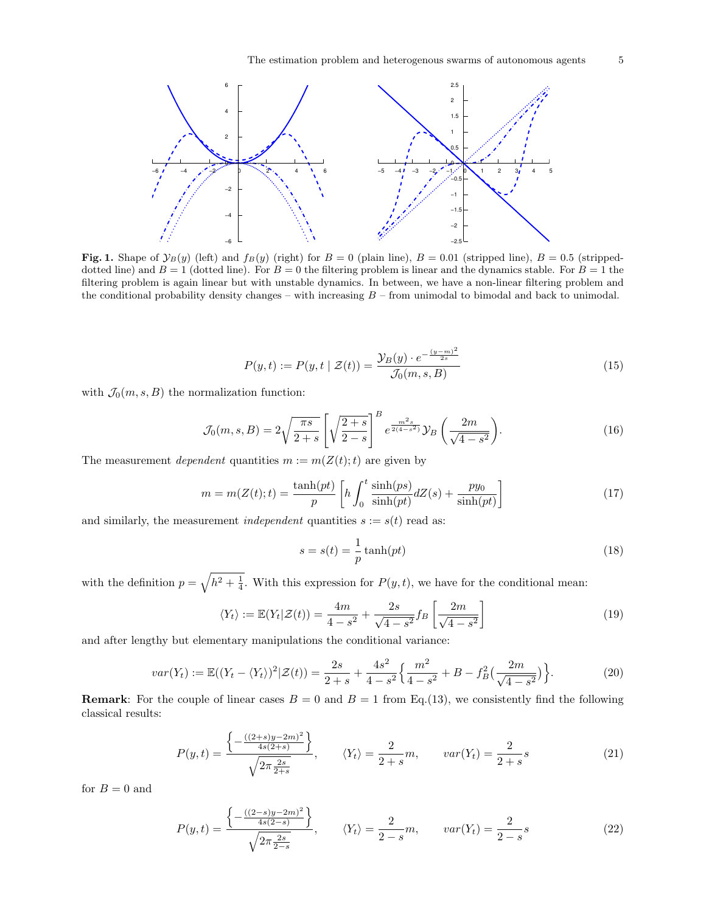

Fig. 1. Shape of  $\mathcal{Y}_B(y)$  (left) and  $f_B(y)$  (right) for  $B = 0$  (plain line),  $B = 0.01$  (stripped line),  $B = 0.5$  (strippeddotted line) and  $B = 1$  (dotted line). For  $B = 0$  the filtering problem is linear and the dynamics stable. For  $B = 1$  the filtering problem is again linear but with unstable dynamics. In between, we have a non-linear filtering problem and the conditional probability density changes – with increasing  $B$  – from unimodal to bimodal and back to unimodal.

$$
P(y,t) := P(y,t \mid \mathcal{Z}(t)) = \frac{\mathcal{Y}_B(y) \cdot e^{-\frac{(y-m)^2}{2s}}}{\mathcal{J}_0(m,s,B)}
$$
(15)

with  $\mathcal{J}_0(m, s, B)$  the normalization function:

$$
\mathcal{J}_0(m,s,B) = 2\sqrt{\frac{\pi s}{2+s}} \left[ \sqrt{\frac{2+s}{2-s}} \right]^B e^{\frac{m^2 s}{2(4-s^2)}} \mathcal{Y}_B\left(\frac{2m}{\sqrt{4-s^2}}\right). \tag{16}
$$

The measurement *dependent* quantities  $m := m(Z(t);t)$  are given by

$$
m = m(Z(t);t) = \frac{\tanh(pt)}{p} \left[ h \int_0^t \frac{\sinh(ps)}{\sinh(pt)} dZ(s) + \frac{py_0}{\sinh(pt)} \right]
$$
(17)

and similarly, the measurement *independent* quantities  $s := s(t)$  read as:

$$
s = s(t) = \frac{1}{p} \tanh(pt) \tag{18}
$$

with the definition  $p = \sqrt{h^2 + \frac{1}{4}}$ . With this expression for  $P(y, t)$ , we have for the conditional mean:

$$
\langle Y_t \rangle := \mathbb{E}(Y_t | \mathcal{Z}(t)) = \frac{4m}{4 - s^2} + \frac{2s}{\sqrt{4 - s^2}} f_B \left[ \frac{2m}{\sqrt{4 - s^2}} \right] \tag{19}
$$

and after lengthy but elementary manipulations the conditional variance:

$$
var(Y_t) := \mathbb{E}((Y_t - \langle Y_t \rangle)^2 | \mathcal{Z}(t)) = \frac{2s}{2+s} + \frac{4s^2}{4-s^2} \left\{ \frac{m^2}{4-s^2} + B - f_B^2 \left( \frac{2m}{\sqrt{4-s^2}} \right) \right\}.
$$
 (20)

**Remark:** For the couple of linear cases  $B = 0$  and  $B = 1$  from Eq.(13), we consistently find the following classical results:

$$
P(y,t) = \frac{\left\{-\frac{((2+s)y-2m)^2}{4s(2+s)}\right\}}{\sqrt{2\pi \frac{2s}{2+s}}}, \qquad \langle Y_t \rangle = \frac{2}{2+s}m, \qquad var(Y_t) = \frac{2}{2+s}s
$$
(21)

for  $B = 0$  and

$$
P(y,t) = \frac{\left\{-\frac{((2-s)y-2m)^2}{4s(2-s)}\right\}}{\sqrt{2\pi \frac{2s}{2-s}}}, \qquad \langle Y_t \rangle = \frac{2}{2-s}m, \qquad var(Y_t) = \frac{2}{2-s}s
$$
 (22)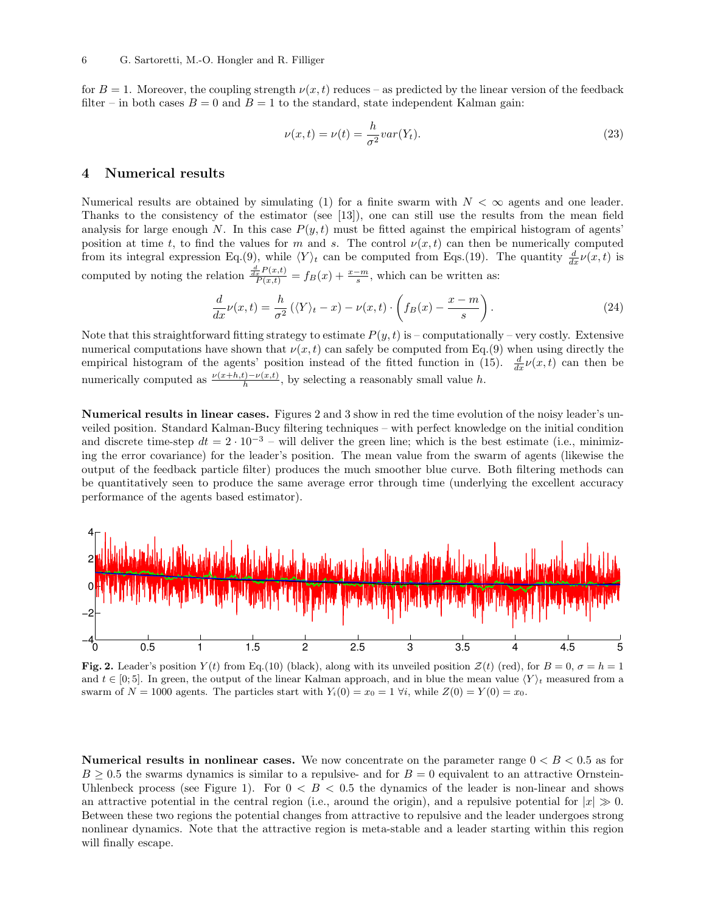for  $B = 1$ . Moreover, the coupling strength  $\nu(x, t)$  reduces – as predicted by the linear version of the feedback filter – in both cases  $B = 0$  and  $B = 1$  to the standard, state independent Kalman gain:

$$
\nu(x,t) = \nu(t) = \frac{h}{\sigma^2} var(Y_t).
$$
\n(23)

#### 4 Numerical results

Numerical results are obtained by simulating (1) for a finite swarm with  $N < \infty$  agents and one leader. Thanks to the consistency of the estimator (see [13]), one can still use the results from the mean field analysis for large enough N. In this case  $P(y, t)$  must be fitted against the empirical histogram of agents' position at time t, to find the values for m and s. The control  $\nu(x,t)$  can then be numerically computed from its integral expression Eq.(9), while  $\langle Y \rangle_t$  can be computed from Eqs.(19). The quantity  $\frac{d}{dx} \nu(x, t)$  is computed by noting the relation  $\frac{\frac{d}{dx}P(x,t)}{P(x,t)} = f_B(x) + \frac{x-m}{s}$ , which can be written as:

$$
\frac{d}{dx}\nu(x,t) = \frac{h}{\sigma^2}(\langle Y \rangle_t - x) - \nu(x,t) \cdot \left(f_B(x) - \frac{x-m}{s}\right). \tag{24}
$$

Note that this straightforward fitting strategy to estimate  $P(y, t)$  is – computationally – very costly. Extensive numerical computations have shown that  $\nu(x, t)$  can safely be computed from Eq.(9) when using directly the empirical histogram of the agents' position instead of the fitted function in (15).  $\frac{d}{dx} \nu(x,t)$  can then be numerically computed as  $\frac{\nu(x+h,t)-\nu(x,t)}{h}$ , by selecting a reasonably small value h.

Numerical results in linear cases. Figures 2 and 3 show in red the time evolution of the noisy leader's unveiled position. Standard Kalman-Bucy filtering techniques – with perfect knowledge on the initial condition and discrete time-step  $dt = 2 \cdot 10^{-3}$  – will deliver the green line; which is the best estimate (i.e., minimizing the error covariance) for the leader's position. The mean value from the swarm of agents (likewise the output of the feedback particle filter) produces the much smoother blue curve. Both filtering methods can be quantitatively seen to produce the same average error through time (underlying the excellent accuracy performance of the agents based estimator).



Fig. 2. Leader's position  $Y(t)$  from Eq.(10) (black), along with its unveiled position  $\mathcal{Z}(t)$  (red), for  $B=0$ ,  $\sigma=h=1$ and  $t \in [0, 5]$ . In green, the output of the linear Kalman approach, and in blue the mean value  $\langle Y \rangle_t$  measured from a swarm of  $N = 1000$  agents. The particles start with  $Y_i(0) = x_0 = 1 \forall i$ , while  $Z(0) = Y(0) = x_0$ .

**Numerical results in nonlinear cases.** We now concentrate on the parameter range  $0 < B < 0.5$  as for  $B \geq 0.5$  the swarms dynamics is similar to a repulsive- and for  $B = 0$  equivalent to an attractive Ornstein-Uhlenbeck process (see Figure 1). For  $0 < B < 0.5$  the dynamics of the leader is non-linear and shows an attractive potential in the central region (i.e., around the origin), and a repulsive potential for  $|x| \gg 0$ . Between these two regions the potential changes from attractive to repulsive and the leader undergoes strong nonlinear dynamics. Note that the attractive region is meta-stable and a leader starting within this region will finally escape.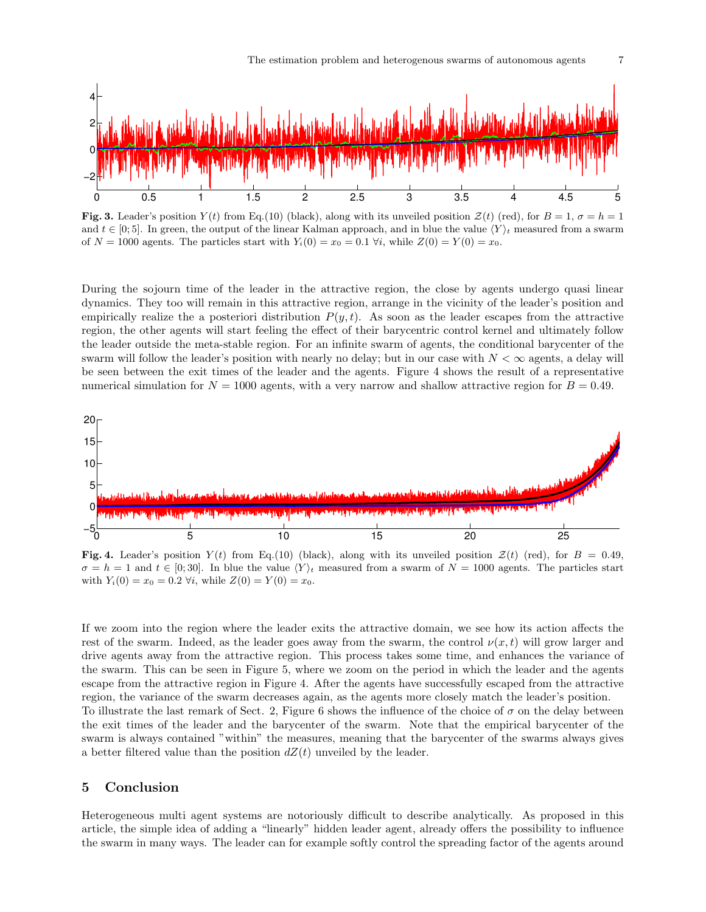

**Fig. 3.** Leader's position  $Y(t)$  from Eq.(10) (black), along with its unveiled position  $\mathcal{Z}(t)$  (red), for  $B = 1$ ,  $\sigma = h = 1$ and  $t \in [0, 5]$ . In green, the output of the linear Kalman approach, and in blue the value  $\langle Y \rangle_t$  measured from a swarm of  $N = 1000$  agents. The particles start with  $Y_i(0) = x_0 = 0.1 \forall i$ , while  $Z(0) = Y(0) = x_0$ .

During the sojourn time of the leader in the attractive region, the close by agents undergo quasi linear dynamics. They too will remain in this attractive region, arrange in the vicinity of the leader's position and empirically realize the a posteriori distribution  $P(y, t)$ . As soon as the leader escapes from the attractive region, the other agents will start feeling the effect of their barycentric control kernel and ultimately follow the leader outside the meta-stable region. For an infinite swarm of agents, the conditional barycenter of the swarm will follow the leader's position with nearly no delay; but in our case with  $N < \infty$  agents, a delay will be seen between the exit times of the leader and the agents. Figure 4 shows the result of a representative numerical simulation for  $N = 1000$  agents, with a very narrow and shallow attractive region for  $B = 0.49$ .



Fig. 4. Leader's position  $Y(t)$  from Eq.(10) (black), along with its unveiled position  $Z(t)$  (red), for  $B = 0.49$ ,  $\sigma = h = 1$  and  $t \in [0, 30]$ . In blue the value  $\langle Y \rangle_t$  measured from a swarm of  $N = 1000$  agents. The particles start with  $Y_i(0) = x_0 = 0.2 \forall i$ , while  $Z(0) = Y(0) = x_0$ .

If we zoom into the region where the leader exits the attractive domain, we see how its action affects the rest of the swarm. Indeed, as the leader goes away from the swarm, the control  $\nu(x, t)$  will grow larger and drive agents away from the attractive region. This process takes some time, and enhances the variance of the swarm. This can be seen in Figure 5, where we zoom on the period in which the leader and the agents escape from the attractive region in Figure 4. After the agents have successfully escaped from the attractive region, the variance of the swarm decreases again, as the agents more closely match the leader's position. To illustrate the last remark of Sect. 2, Figure 6 shows the influence of the choice of  $\sigma$  on the delay between the exit times of the leader and the barycenter of the swarm. Note that the empirical barycenter of the swarm is always contained "within" the measures, meaning that the barycenter of the swarms always gives a better filtered value than the position  $dZ(t)$  unveiled by the leader.

## 5 Conclusion

Heterogeneous multi agent systems are notoriously difficult to describe analytically. As proposed in this article, the simple idea of adding a "linearly" hidden leader agent, already offers the possibility to influence the swarm in many ways. The leader can for example softly control the spreading factor of the agents around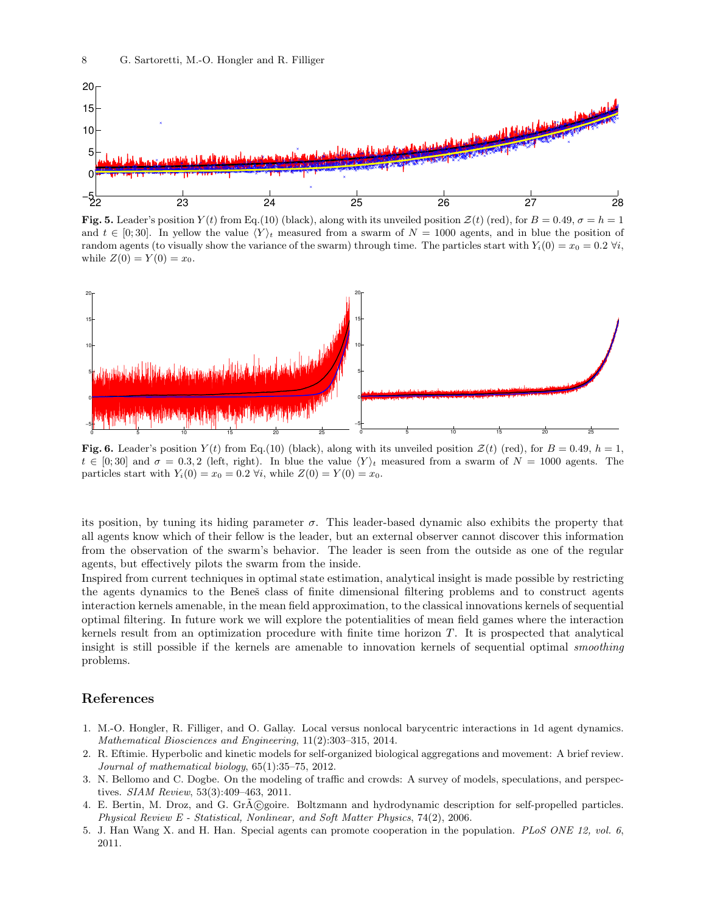

**Fig. 5.** Leader's position  $Y(t)$  from Eq.(10) (black), along with its unveiled position  $Z(t)$  (red), for  $B = 0.49$ ,  $\sigma = h = 1$ and  $t \in [0, 30]$ . In yellow the value  $\langle Y \rangle_t$  measured from a swarm of  $N = 1000$  agents, and in blue the position of random agents (to visually show the variance of the swarm) through time. The particles start with  $Y_i(0) = x_0 = 0.2 \forall i$ , while  $Z(0) = Y(0) = x_0$ .



Fig. 6. Leader's position  $Y(t)$  from Eq.(10) (black), along with its unveiled position  $\mathcal{Z}(t)$  (red), for  $B = 0.49$ ,  $h = 1$ ,  $t \in [0, 30]$  and  $\sigma = 0.3, 2$  (left, right). In blue the value  $\langle Y \rangle_t$  measured from a swarm of  $N = 1000$  agents. The particles start with  $Y_i(0) = x_0 = 0.2 \forall i$ , while  $Z(0) = Y(0) = x_0$ .

its position, by tuning its hiding parameter  $\sigma$ . This leader-based dynamic also exhibits the property that all agents know which of their fellow is the leader, but an external observer cannot discover this information from the observation of the swarm's behavior. The leader is seen from the outside as one of the regular agents, but effectively pilots the swarm from the inside.

Inspired from current techniques in optimal state estimation, analytical insight is made possible by restricting the agents dynamics to the Beneš class of finite dimensional filtering problems and to construct agents interaction kernels amenable, in the mean field approximation, to the classical innovations kernels of sequential optimal filtering. In future work we will explore the potentialities of mean field games where the interaction kernels result from an optimization procedure with finite time horizon  $T$ . It is prospected that analytical insight is still possible if the kernels are amenable to innovation kernels of sequential optimal smoothing problems.

#### References

- 1. M.-O. Hongler, R. Filliger, and O. Gallay. Local versus nonlocal barycentric interactions in 1d agent dynamics. Mathematical Biosciences and Engineering, 11(2):303–315, 2014.
- 2. R. Eftimie. Hyperbolic and kinetic models for self-organized biological aggregations and movement: A brief review. Journal of mathematical biology, 65(1):35–75, 2012.
- 3. N. Bellomo and C. Dogbe. On the modeling of traffic and crowds: A survey of models, speculations, and perspectives. SIAM Review, 53(3):409–463, 2011.
- 4. E. Bertin, M. Droz, and G. GrA©goire. Boltzmann and hydrodynamic description for self-propelled particles. Physical Review E - Statistical, Nonlinear, and Soft Matter Physics, 74(2), 2006.
- 5. J. Han Wang X. and H. Han. Special agents can promote cooperation in the population. PLoS ONE 12, vol. 6, 2011.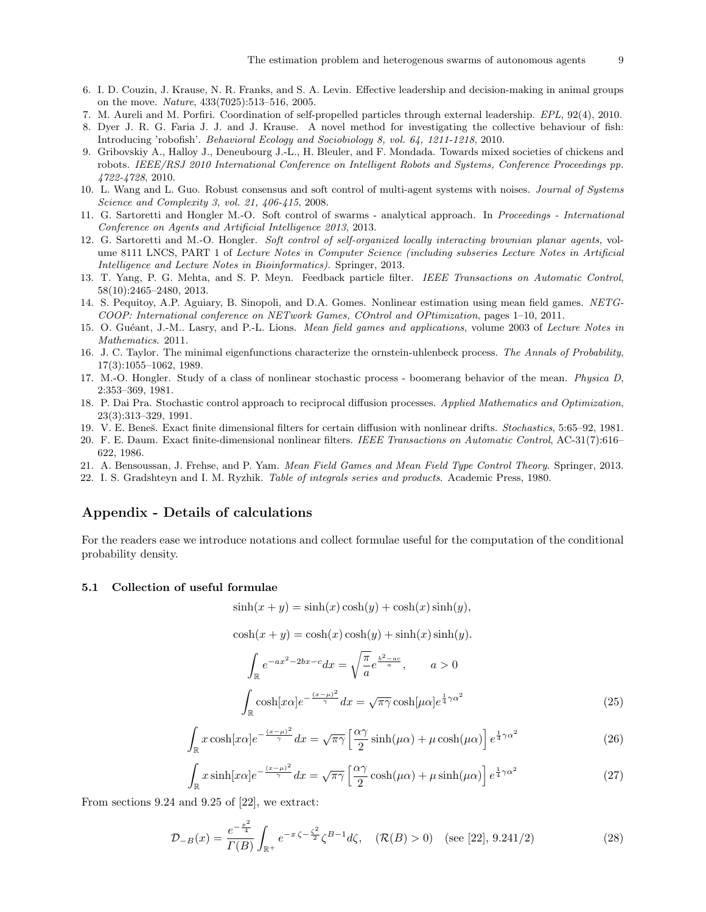- 6. I. D. Couzin, J. Krause, N. R. Franks, and S. A. Levin. Effective leadership and decision-making in animal groups on the move. Nature, 433(7025):513–516, 2005.
- 7. M. Aureli and M. Porfiri. Coordination of self-propelled particles through external leadership. EPL, 92(4), 2010.
- 8. Dyer J. R. G. Faria J. J. and J. Krause. A novel method for investigating the collective behaviour of fish: Introducing 'robofish'. Behavioral Ecology and Sociobiology 8, vol. 64, 1211-1218, 2010.
- 9. Gribovskiy A., Halloy J., Deneubourg J.-L., H. Bleuler, and F. Mondada. Towards mixed societies of chickens and robots. IEEE/RSJ 2010 International Conference on Intelligent Robots and Systems, Conference Proceedings pp. 4722-4728, 2010.
- 10. L. Wang and L. Guo. Robust consensus and soft control of multi-agent systems with noises. Journal of Systems Science and Complexity 3, vol. 21, 406-415, 2008.
- 11. G. Sartoretti and Hongler M.-O. Soft control of swarms analytical approach. In Proceedings International Conference on Agents and Artificial Intelligence 2013, 2013.
- 12. G. Sartoretti and M.-O. Hongler. Soft control of self-organized locally interacting brownian planar agents, volume 8111 LNCS, PART 1 of Lecture Notes in Computer Science (including subseries Lecture Notes in Artificial Intelligence and Lecture Notes in Bioinformatics). Springer, 2013.
- 13. T. Yang, P. G. Mehta, and S. P. Meyn. Feedback particle filter. IEEE Transactions on Automatic Control, 58(10):2465–2480, 2013.
- 14. S. Pequitoy, A.P. Aguiary, B. Sinopoli, and D.A. Gomes. Nonlinear estimation using mean field games. NETG-COOP: International conference on NETwork Games, COntrol and OPtimization, pages 1–10, 2011.
- 15. O. Guéant, J.-M.. Lasry, and P.-L. Lions. Mean field games and applications, volume 2003 of Lecture Notes in Mathematics. 2011.
- 16. J. C. Taylor. The minimal eigenfunctions characterize the ornstein-uhlenbeck process. The Annals of Probability, 17(3):1055–1062, 1989.
- 17. M.-O. Hongler. Study of a class of nonlinear stochastic process boomerang behavior of the mean. Physica D, 2:353–369, 1981.
- 18. P. Dai Pra. Stochastic control approach to reciprocal diffusion processes. Applied Mathematics and Optimization, 23(3):313–329, 1991.
- 19. V. E. Bene˘s. Exact finite dimensional filters for certain diffusion with nonlinear drifts. Stochastics, 5:65–92, 1981.
- 20. F. E. Daum. Exact finite-dimensional nonlinear filters. IEEE Transactions on Automatic Control, AC-31(7):616– 622, 1986.
- 21. A. Bensoussan, J. Frehse, and P. Yam. Mean Field Games and Mean Field Type Control Theory. Springer, 2013.
- 22. I. S. Gradshteyn and I. M. Ryzhik. Table of integrals series and products. Academic Press, 1980.

# Appendix - Details of calculations

For the readers ease we introduce notations and collect formulae useful for the computation of the conditional probability density.

## 5.1 Collection of useful formulae

$$
sinh(x + y) = sinh(x) cosh(y) + cosh(x) sinh(y),
$$

$$
cosh(x + y) = cosh(x) cosh(y) + sinh(x) sinh(y).
$$

$$
\int_{\mathbb{R}} e^{-ax^2 - 2bx - c} dx = \sqrt{\frac{\pi}{a}} e^{\frac{b^2 - ac}{a}}, \qquad a > 0
$$

$$
\int \cosh[x\alpha] e^{-\frac{(x - \mu)^2}{\gamma}} dx = \sqrt{\pi \gamma} \cosh[\mu \alpha] e^{\frac{1}{4}\gamma \alpha^2}
$$
(25)

$$
\int_{\mathbb{R}} \int_{x \cosh\left(x\alpha\right)e^{-\frac{(x-\mu)^2}{\gamma}}dx} \frac{\sqrt{\pi \gamma}}{\sqrt{\pi \gamma}} \left[\frac{\alpha \gamma}{\gamma} \sinh(\mu \alpha) + \mu \cosh(\mu \alpha)\right] e^{\frac{1}{4}\gamma \alpha^2}
$$
(26)

$$
\int_{\mathbb{R}} x \cos(\mu \alpha) e^{-\mu \alpha} dx = \sqrt{\frac{\pi}{2}} \sinh(\mu \alpha) + \mu \cosh(\mu \alpha) e^{-\mu \alpha}
$$
 (20)

$$
\int_{\mathbb{R}} x \sinh[x\alpha] e^{-\frac{(x-\mu)^2}{\gamma}} dx = \sqrt{\pi \gamma} \left[ \frac{\alpha \gamma}{2} \cosh(\mu \alpha) + \mu \sinh(\mu \alpha) \right] e^{\frac{1}{4} \gamma \alpha^2}
$$
(27)

From sections 9.24 and 9.25 of [22], we extract:

 $\int_{-\infty}^{\infty}$ 

$$
\mathcal{D}_{-B}(x) = \frac{e^{-\frac{x^2}{4}}}{\Gamma(B)} \int_{\mathbb{R}^+} e^{-x\zeta - \frac{\zeta^2}{2}} \zeta^{B-1} d\zeta, \quad (\mathcal{R}(B) > 0) \quad (\text{see [22], 9.241/2})
$$
 (28)